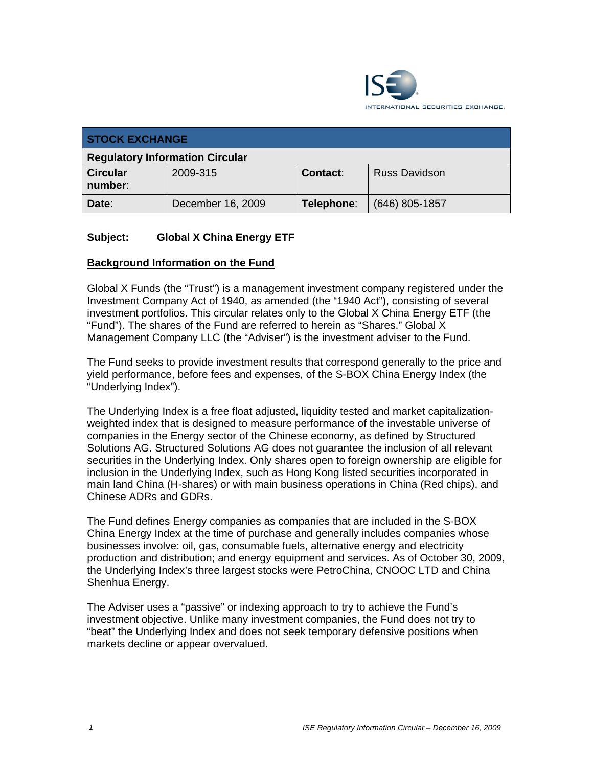

| <b>STOCK EXCHANGE</b>                  |                   |            |                      |  |
|----------------------------------------|-------------------|------------|----------------------|--|
| <b>Regulatory Information Circular</b> |                   |            |                      |  |
| <b>Circular</b><br>number:             | 2009-315          | Contact:   | <b>Russ Davidson</b> |  |
| Date:                                  | December 16, 2009 | Telephone: | $(646)$ 805-1857     |  |

## **Subject: Global X China Energy ETF**

## **Background Information on the Fund**

Global X Funds (the "Trust") is a management investment company registered under the Investment Company Act of 1940, as amended (the "1940 Act"), consisting of several investment portfolios. This circular relates only to the Global X China Energy ETF (the "Fund"). The shares of the Fund are referred to herein as "Shares." Global X Management Company LLC (the "Adviser") is the investment adviser to the Fund.

The Fund seeks to provide investment results that correspond generally to the price and yield performance, before fees and expenses, of the S-BOX China Energy Index (the "Underlying Index").

The Underlying Index is a free float adjusted, liquidity tested and market capitalizationweighted index that is designed to measure performance of the investable universe of companies in the Energy sector of the Chinese economy, as defined by Structured Solutions AG. Structured Solutions AG does not guarantee the inclusion of all relevant securities in the Underlying Index. Only shares open to foreign ownership are eligible for inclusion in the Underlying Index, such as Hong Kong listed securities incorporated in main land China (H-shares) or with main business operations in China (Red chips), and Chinese ADRs and GDRs.

The Fund defines Energy companies as companies that are included in the S-BOX China Energy Index at the time of purchase and generally includes companies whose businesses involve: oil, gas, consumable fuels, alternative energy and electricity production and distribution; and energy equipment and services. As of October 30, 2009, the Underlying Index's three largest stocks were PetroChina, CNOOC LTD and China Shenhua Energy.

The Adviser uses a "passive" or indexing approach to try to achieve the Fund's investment objective. Unlike many investment companies, the Fund does not try to "beat" the Underlying Index and does not seek temporary defensive positions when markets decline or appear overvalued.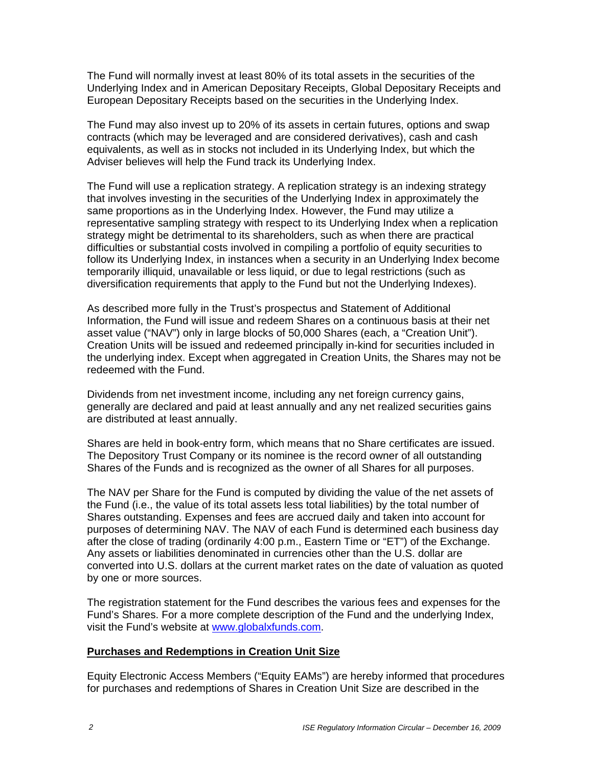The Fund will normally invest at least 80% of its total assets in the securities of the Underlying Index and in American Depositary Receipts, Global Depositary Receipts and European Depositary Receipts based on the securities in the Underlying Index.

The Fund may also invest up to 20% of its assets in certain futures, options and swap contracts (which may be leveraged and are considered derivatives), cash and cash equivalents, as well as in stocks not included in its Underlying Index, but which the Adviser believes will help the Fund track its Underlying Index.

The Fund will use a replication strategy. A replication strategy is an indexing strategy that involves investing in the securities of the Underlying Index in approximately the same proportions as in the Underlying Index. However, the Fund may utilize a representative sampling strategy with respect to its Underlying Index when a replication strategy might be detrimental to its shareholders, such as when there are practical difficulties or substantial costs involved in compiling a portfolio of equity securities to follow its Underlying Index, in instances when a security in an Underlying Index become temporarily illiquid, unavailable or less liquid, or due to legal restrictions (such as diversification requirements that apply to the Fund but not the Underlying Indexes).

As described more fully in the Trust's prospectus and Statement of Additional Information, the Fund will issue and redeem Shares on a continuous basis at their net asset value ("NAV") only in large blocks of 50,000 Shares (each, a "Creation Unit"). Creation Units will be issued and redeemed principally in-kind for securities included in the underlying index. Except when aggregated in Creation Units, the Shares may not be redeemed with the Fund.

Dividends from net investment income, including any net foreign currency gains, generally are declared and paid at least annually and any net realized securities gains are distributed at least annually.

Shares are held in book-entry form, which means that no Share certificates are issued. The Depository Trust Company or its nominee is the record owner of all outstanding Shares of the Funds and is recognized as the owner of all Shares for all purposes.

The NAV per Share for the Fund is computed by dividing the value of the net assets of the Fund (i.e., the value of its total assets less total liabilities) by the total number of Shares outstanding. Expenses and fees are accrued daily and taken into account for purposes of determining NAV. The NAV of each Fund is determined each business day after the close of trading (ordinarily 4:00 p.m., Eastern Time or "ET") of the Exchange. Any assets or liabilities denominated in currencies other than the U.S. dollar are converted into U.S. dollars at the current market rates on the date of valuation as quoted by one or more sources.

The registration statement for the Fund describes the various fees and expenses for the Fund's Shares. For a more complete description of the Fund and the underlying Index, visit the Fund's website at www.globalxfunds.com.

## **Purchases and Redemptions in Creation Unit Size**

Equity Electronic Access Members ("Equity EAMs") are hereby informed that procedures for purchases and redemptions of Shares in Creation Unit Size are described in the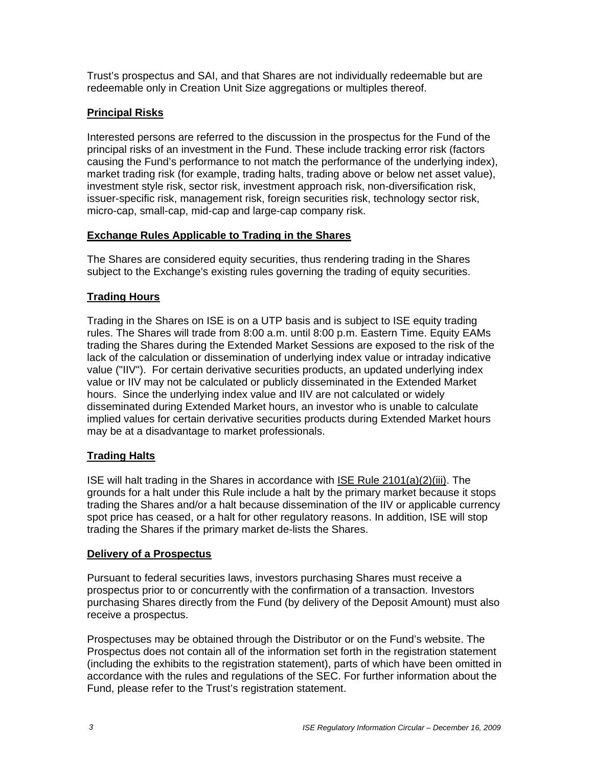Trust's prospectus and SAI, and that Shares are not individually redeemable but are redeemable only in Creation Unit Size aggregations or multiples thereof.

# **Principal Risks**

Interested persons are referred to the discussion in the prospectus for the Fund of the principal risks of an investment in the Fund. These include tracking error risk (factors causing the Fund's performance to not match the performance of the underlying index), market trading risk (for example, trading halts, trading above or below net asset value), investment style risk, sector risk, investment approach risk, non-diversification risk, issuer-specific risk, management risk, foreign securities risk, technology sector risk, micro-cap, small-cap, mid-cap and large-cap company risk.

# **Exchange Rules Applicable to Trading in the Shares**

The Shares are considered equity securities, thus rendering trading in the Shares subject to the Exchange's existing rules governing the trading of equity securities.

# **Trading Hours**

Trading in the Shares on ISE is on a UTP basis and is subject to ISE equity trading rules. The Shares will trade from 8:00 a.m. until 8:00 p.m. Eastern Time. Equity EAMs trading the Shares during the Extended Market Sessions are exposed to the risk of the lack of the calculation or dissemination of underlying index value or intraday indicative value ("IIV"). For certain derivative securities products, an updated underlying index value or IIV may not be calculated or publicly disseminated in the Extended Market hours. Since the underlying index value and IIV are not calculated or widely disseminated during Extended Market hours, an investor who is unable to calculate implied values for certain derivative securities products during Extended Market hours may be at a disadvantage to market professionals.

# **Trading Halts**

ISE will halt trading in the Shares in accordance with ISE Rule 2101(a)(2)(iii). The grounds for a halt under this Rule include a halt by the primary market because it stops trading the Shares and/or a halt because dissemination of the IIV or applicable currency spot price has ceased, or a halt for other regulatory reasons. In addition, ISE will stop trading the Shares if the primary market de-lists the Shares.

# **Delivery of a Prospectus**

Pursuant to federal securities laws, investors purchasing Shares must receive a prospectus prior to or concurrently with the confirmation of a transaction. Investors purchasing Shares directly from the Fund (by delivery of the Deposit Amount) must also receive a prospectus.

Prospectuses may be obtained through the Distributor or on the Fund's website. The Prospectus does not contain all of the information set forth in the registration statement (including the exhibits to the registration statement), parts of which have been omitted in accordance with the rules and regulations of the SEC. For further information about the Fund, please refer to the Trust's registration statement.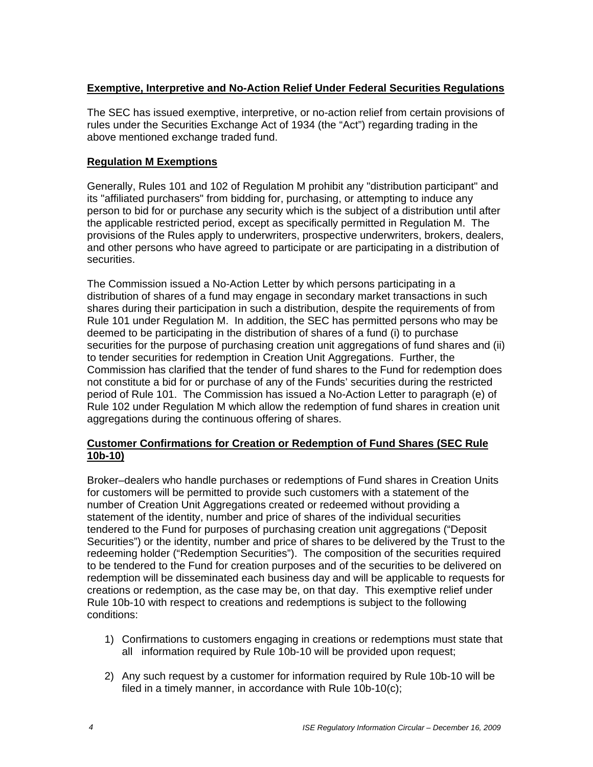## **Exemptive, Interpretive and No-Action Relief Under Federal Securities Regulations**

The SEC has issued exemptive, interpretive, or no-action relief from certain provisions of rules under the Securities Exchange Act of 1934 (the "Act") regarding trading in the above mentioned exchange traded fund.

## **Regulation M Exemptions**

Generally, Rules 101 and 102 of Regulation M prohibit any "distribution participant" and its "affiliated purchasers" from bidding for, purchasing, or attempting to induce any person to bid for or purchase any security which is the subject of a distribution until after the applicable restricted period, except as specifically permitted in Regulation M. The provisions of the Rules apply to underwriters, prospective underwriters, brokers, dealers, and other persons who have agreed to participate or are participating in a distribution of securities.

The Commission issued a No-Action Letter by which persons participating in a distribution of shares of a fund may engage in secondary market transactions in such shares during their participation in such a distribution, despite the requirements of from Rule 101 under Regulation M. In addition, the SEC has permitted persons who may be deemed to be participating in the distribution of shares of a fund (i) to purchase securities for the purpose of purchasing creation unit aggregations of fund shares and (ii) to tender securities for redemption in Creation Unit Aggregations. Further, the Commission has clarified that the tender of fund shares to the Fund for redemption does not constitute a bid for or purchase of any of the Funds' securities during the restricted period of Rule 101. The Commission has issued a No-Action Letter to paragraph (e) of Rule 102 under Regulation M which allow the redemption of fund shares in creation unit aggregations during the continuous offering of shares.

## **Customer Confirmations for Creation or Redemption of Fund Shares (SEC Rule 10b-10)**

Broker–dealers who handle purchases or redemptions of Fund shares in Creation Units for customers will be permitted to provide such customers with a statement of the number of Creation Unit Aggregations created or redeemed without providing a statement of the identity, number and price of shares of the individual securities tendered to the Fund for purposes of purchasing creation unit aggregations ("Deposit Securities") or the identity, number and price of shares to be delivered by the Trust to the redeeming holder ("Redemption Securities"). The composition of the securities required to be tendered to the Fund for creation purposes and of the securities to be delivered on redemption will be disseminated each business day and will be applicable to requests for creations or redemption, as the case may be, on that day. This exemptive relief under Rule 10b-10 with respect to creations and redemptions is subject to the following conditions:

- 1) Confirmations to customers engaging in creations or redemptions must state that all information required by Rule 10b-10 will be provided upon request;
- 2) Any such request by a customer for information required by Rule 10b-10 will be filed in a timely manner, in accordance with Rule 10b-10(c);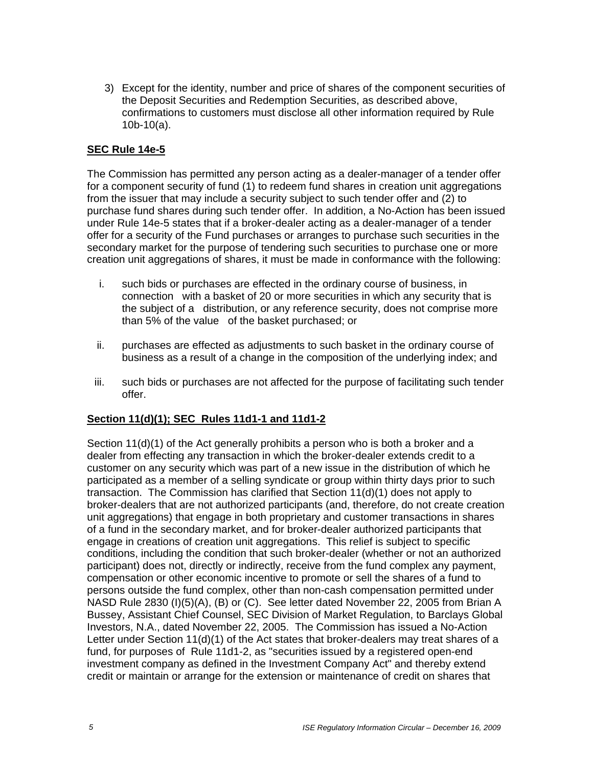3) Except for the identity, number and price of shares of the component securities of the Deposit Securities and Redemption Securities, as described above, confirmations to customers must disclose all other information required by Rule 10b-10(a).

## **SEC Rule 14e-5**

The Commission has permitted any person acting as a dealer-manager of a tender offer for a component security of fund (1) to redeem fund shares in creation unit aggregations from the issuer that may include a security subject to such tender offer and (2) to purchase fund shares during such tender offer. In addition, a No-Action has been issued under Rule 14e-5 states that if a broker-dealer acting as a dealer-manager of a tender offer for a security of the Fund purchases or arranges to purchase such securities in the secondary market for the purpose of tendering such securities to purchase one or more creation unit aggregations of shares, it must be made in conformance with the following:

- i. such bids or purchases are effected in the ordinary course of business, in connection with a basket of 20 or more securities in which any security that is the subject of a distribution, or any reference security, does not comprise more than 5% of the value of the basket purchased; or
- ii. purchases are effected as adjustments to such basket in the ordinary course of business as a result of a change in the composition of the underlying index; and
- iii. such bids or purchases are not affected for the purpose of facilitating such tender offer.

## **Section 11(d)(1); SEC Rules 11d1-1 and 11d1-2**

Section 11(d)(1) of the Act generally prohibits a person who is both a broker and a dealer from effecting any transaction in which the broker-dealer extends credit to a customer on any security which was part of a new issue in the distribution of which he participated as a member of a selling syndicate or group within thirty days prior to such transaction. The Commission has clarified that Section 11(d)(1) does not apply to broker-dealers that are not authorized participants (and, therefore, do not create creation unit aggregations) that engage in both proprietary and customer transactions in shares of a fund in the secondary market, and for broker-dealer authorized participants that engage in creations of creation unit aggregations. This relief is subject to specific conditions, including the condition that such broker-dealer (whether or not an authorized participant) does not, directly or indirectly, receive from the fund complex any payment, compensation or other economic incentive to promote or sell the shares of a fund to persons outside the fund complex, other than non-cash compensation permitted under NASD Rule 2830 (I)(5)(A), (B) or (C). See letter dated November 22, 2005 from Brian A Bussey, Assistant Chief Counsel, SEC Division of Market Regulation, to Barclays Global Investors, N.A., dated November 22, 2005. The Commission has issued a No-Action Letter under Section 11(d)(1) of the Act states that broker-dealers may treat shares of a fund, for purposes of Rule 11d1-2, as "securities issued by a registered open-end investment company as defined in the Investment Company Act" and thereby extend credit or maintain or arrange for the extension or maintenance of credit on shares that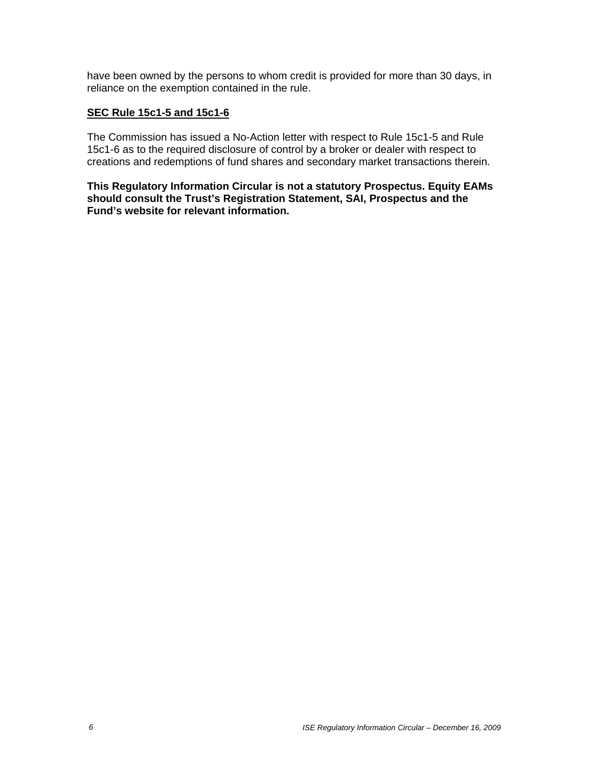have been owned by the persons to whom credit is provided for more than 30 days, in reliance on the exemption contained in the rule.

## **SEC Rule 15c1-5 and 15c1-6**

The Commission has issued a No-Action letter with respect to Rule 15c1-5 and Rule 15c1-6 as to the required disclosure of control by a broker or dealer with respect to creations and redemptions of fund shares and secondary market transactions therein.

**This Regulatory Information Circular is not a statutory Prospectus. Equity EAMs should consult the Trust's Registration Statement, SAI, Prospectus and the Fund's website for relevant information.**